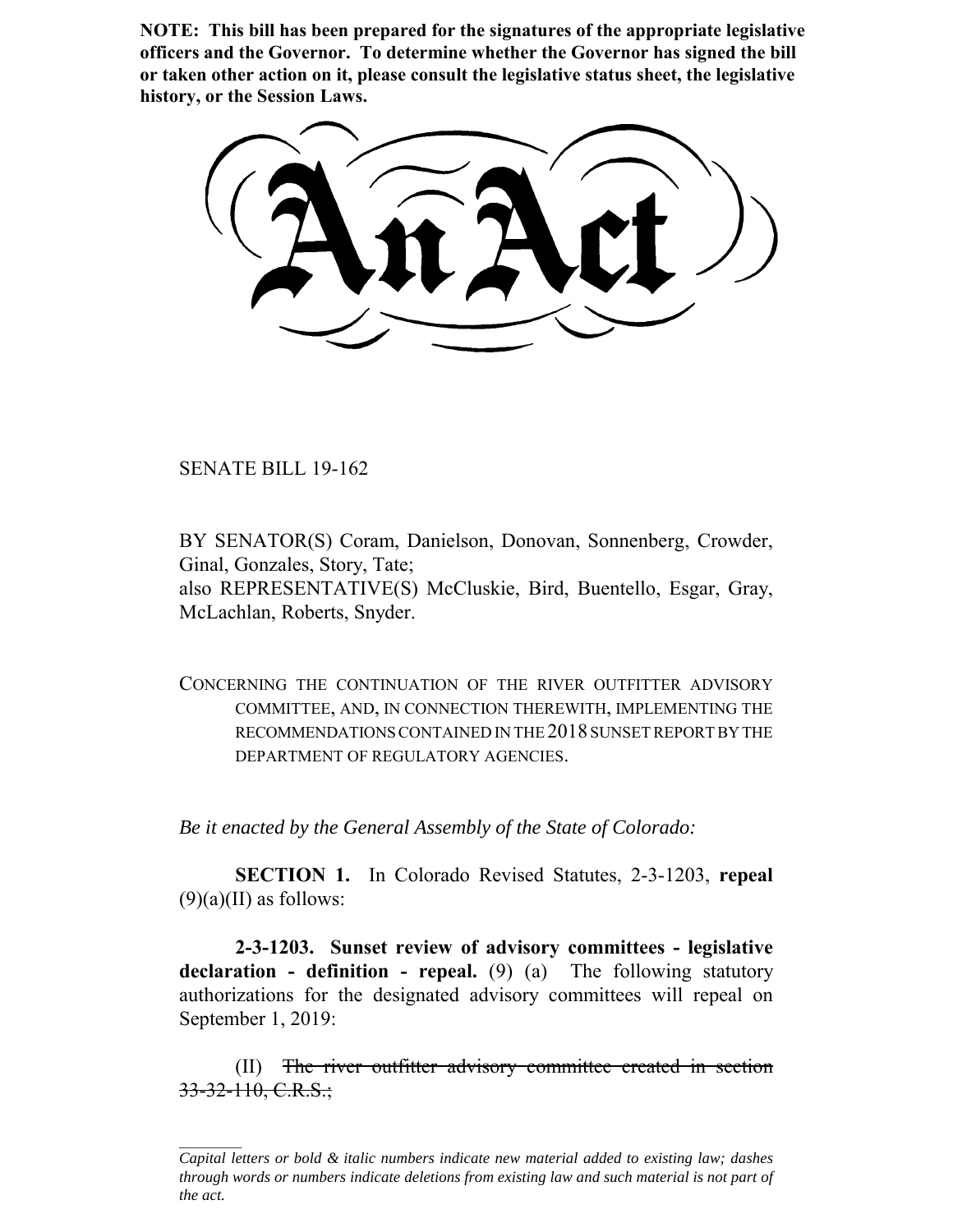**NOTE: This bill has been prepared for the signatures of the appropriate legislative officers and the Governor. To determine whether the Governor has signed the bill or taken other action on it, please consult the legislative status sheet, the legislative history, or the Session Laws.**

SENATE BILL 19-162

BY SENATOR(S) Coram, Danielson, Donovan, Sonnenberg, Crowder, Ginal, Gonzales, Story, Tate; also REPRESENTATIVE(S) McCluskie, Bird, Buentello, Esgar, Gray, McLachlan, Roberts, Snyder.

CONCERNING THE CONTINUATION OF THE RIVER OUTFITTER ADVISORY COMMITTEE, AND, IN CONNECTION THEREWITH, IMPLEMENTING THE RECOMMENDATIONS CONTAINED IN THE 2018 SUNSET REPORT BY THE DEPARTMENT OF REGULATORY AGENCIES.

*Be it enacted by the General Assembly of the State of Colorado:*

**SECTION 1.** In Colorado Revised Statutes, 2-3-1203, **repeal**  $(9)(a)(II)$  as follows:

**2-3-1203. Sunset review of advisory committees - legislative declaration - definition - repeal.** (9) (a) The following statutory authorizations for the designated advisory committees will repeal on September 1, 2019:

(II) The river outfitter advisory committee created in section 33-32-110, C.R.S.;

*Capital letters or bold & italic numbers indicate new material added to existing law; dashes through words or numbers indicate deletions from existing law and such material is not part of the act.*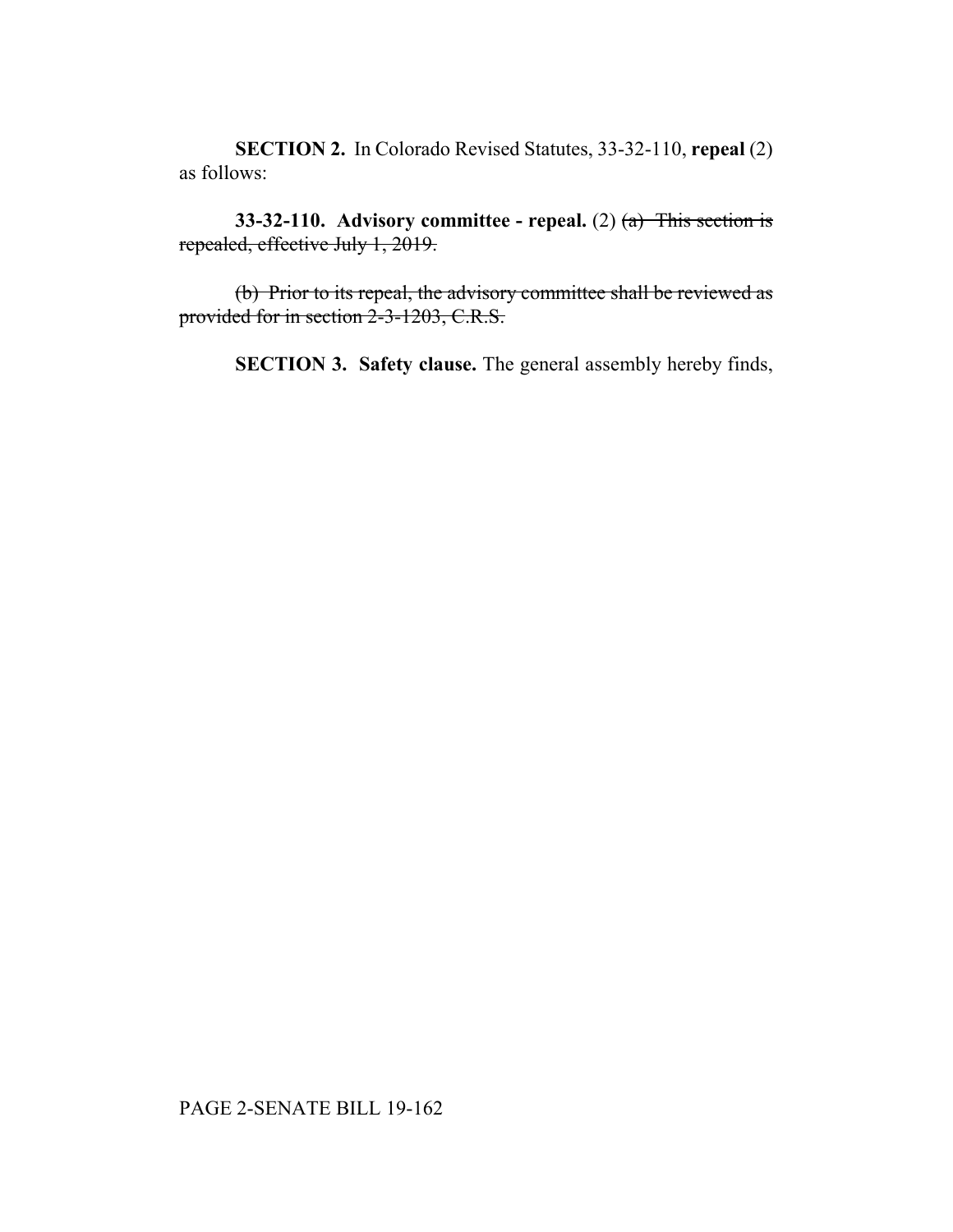**SECTION 2.** In Colorado Revised Statutes, 33-32-110, **repeal** (2) as follows:

**33-32-110. Advisory committee - repeal.** (2) (a) This section is repealed, effective July 1, 2019.

(b) Prior to its repeal, the advisory committee shall be reviewed as provided for in section 2-3-1203, C.R.S.

**SECTION 3. Safety clause.** The general assembly hereby finds,